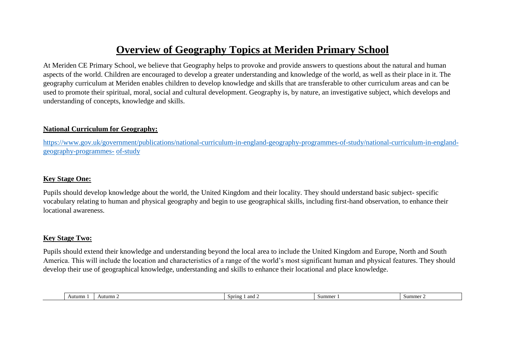# **Overview of Geography Topics at Meriden Primary School**

At Meriden CE Primary School, we believe that Geography helps to provoke and provide answers to questions about the natural and human aspects of the world. Children are encouraged to develop a greater understanding and knowledge of the world, as well as their place in it. The geography curriculum at Meriden enables children to develop knowledge and skills that are transferable to other curriculum areas and can be used to promote their spiritual, moral, social and cultural development. Geography is, by nature, an investigative subject, which develops and understanding of concepts, knowledge and skills.

### **National Curriculum for Geography:**

[https://www.gov.uk/government/publications/national-curriculum-in-england-geography-programmes-of-study/national-curriculum-in-england](https://www.gov.uk/government/publications/national-curriculum-in-england-geography-programmes-of-study/national-curriculum-in-england-geography-programmes-of-study)[geography-programmes-](https://www.gov.uk/government/publications/national-curriculum-in-england-geography-programmes-of-study/national-curriculum-in-england-geography-programmes-of-study) [of-study](https://www.gov.uk/government/publications/national-curriculum-in-england-geography-programmes-of-study/national-curriculum-in-england-geography-programmes-of-study)

#### **Key Stage One:**

Pupils should develop knowledge about the world, the United Kingdom and their locality. They should understand basic subject- specific vocabulary relating to human and physical geography and begin to use geographical skills, including first-hand observation, to enhance their locational awareness.

### **Key Stage Two:**

Pupils should extend their knowledge and understanding beyond the local area to include the United Kingdom and Europe, North and South America. This will include the location and characteristics of a range of the world's most significant human and physical features. They should develop their use of geographical knowledge, understanding and skills to enhance their locational and place knowledge.

|  |  |  | Autumn | Autumn | and 2<br>Spring | Summer | Summe |
|--|--|--|--------|--------|-----------------|--------|-------|
|--|--|--|--------|--------|-----------------|--------|-------|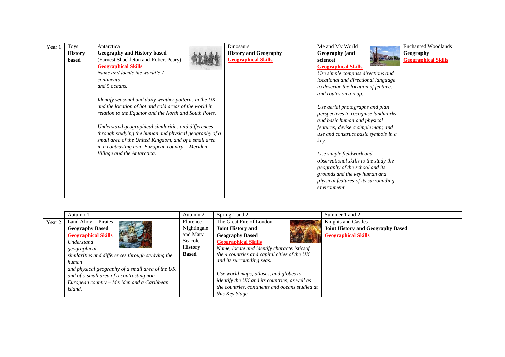| Year 1 | <b>Toys</b>    | Antarctica                                             | Dinosaurs                    | Me and My World                       | <b>Enchanted Woodlands</b> |
|--------|----------------|--------------------------------------------------------|------------------------------|---------------------------------------|----------------------------|
|        | <b>History</b> | <b>Geography and History based</b>                     | <b>History and Geography</b> | Geography (and                        | Geography                  |
|        | based          | (Earnest Shackleton and Robert Peary)                  | <b>Geographical Skills</b>   | science)                              | <b>Geographical Skills</b> |
|        |                | <b>Geographical Skills</b>                             |                              | <b>Geographical Skills</b>            |                            |
|        |                | Name and locate the world's 7                          |                              | Use simple compass directions and     |                            |
|        |                | continents                                             |                              | locational and directional language   |                            |
|        |                | and 5 oceans.                                          |                              | to describe the location of features  |                            |
|        |                |                                                        |                              | and routes on a map.                  |                            |
|        |                | Identify seasonal and daily weather patterns in the UK |                              |                                       |                            |
|        |                | and the location of hot and cold areas of the world in |                              | Use aerial photographs and plan       |                            |
|        |                | relation to the Equator and the North and South Poles. |                              | perspectives to recognise landmarks   |                            |
|        |                |                                                        |                              | and basic human and physical          |                            |
|        |                | Understand geographical similarities and differences   |                              | features; devise a simple map; and    |                            |
|        |                | through studying the human and physical geography of a |                              | use and construct basic symbols in a  |                            |
|        |                | small area of the United Kingdom, and of a small area  |                              | key.                                  |                            |
|        |                | in a contrasting non-European country $-$ Meriden      |                              |                                       |                            |
|        |                | Village and the Antarctica.                            |                              | Use simple fieldwork and              |                            |
|        |                |                                                        |                              | observational skills to the study the |                            |
|        |                |                                                        |                              | geography of the school and its       |                            |
|        |                |                                                        |                              | grounds and the key human and         |                            |
|        |                |                                                        |                              | physical features of its surrounding  |                            |
|        |                |                                                        |                              | environment                           |                            |
|        |                |                                                        |                              |                                       |                            |

|        | Autumn 1                                          | Autumn 2       | Spring 1 and 2                                  | Summer 1 and 2                           |
|--------|---------------------------------------------------|----------------|-------------------------------------------------|------------------------------------------|
| Year 2 | Land Ahoy! - Pirates                              | Florence       | The Great Fire of London                        | Knights and Castles                      |
|        | <b>Geography Based</b>                            | Nightingale    | <b>Joint History and</b>                        | <b>Joint History and Geography Based</b> |
|        | <b>Geographical Skills</b>                        | and Mary       | <b>Geography Based</b>                          | <b>Geographical Skills</b>               |
|        | Understand                                        | Seacole        | <b>Geographical Skills</b>                      |                                          |
|        | geographical                                      | <b>History</b> | Name, locate and identify characteristics of    |                                          |
|        | similarities and differences through studying the | <b>Based</b>   | the 4 countries and capital cities of the UK    |                                          |
|        | human                                             |                | and its surrounding seas.                       |                                          |
|        | and physical geography of a small area of the UK  |                |                                                 |                                          |
|        | and of a small area of a contrasting non-         |                | Use world maps, atlases, and globes to          |                                          |
|        | European country – Meriden and a Caribbean        |                | identify the UK and its countries, as well as   |                                          |
|        | <i>island.</i>                                    |                | the countries, continents and oceans studied at |                                          |
|        |                                                   |                | this Key Stage.                                 |                                          |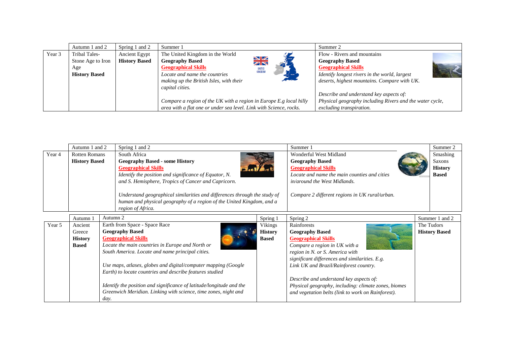|        | Autumn 1 and 2                                                    | Spring 1 and 2                        | Summer 1                                                                                                                                                                               |                                                    | Summer 2                                                                                                                                                                             |
|--------|-------------------------------------------------------------------|---------------------------------------|----------------------------------------------------------------------------------------------------------------------------------------------------------------------------------------|----------------------------------------------------|--------------------------------------------------------------------------------------------------------------------------------------------------------------------------------------|
| Year 3 | Tribal Tales-<br>Stone Age to Iron<br>Age<br><b>History Based</b> | Ancient Egypt<br><b>History Based</b> | The United Kingdom in the World<br><b>Geography Based</b><br><b>Geographical Skills</b><br>Locate and name the countries<br>making up the British Isles, with their<br>capital cities. | $\frac{N}{N}$<br>UNITED<br>KINGDOM<br><b>PALLA</b> | Flow - Rivers and mountains<br><b>Geography Based</b><br><b>Geographical Skills</b><br>Identify longest rivers in the world, largest<br>deserts, highest mountains. Compare with UK. |
|        |                                                                   |                                       | Compare a region of the UK with a region in Europe E.g local hilly<br>area with a flat one or under sea level. Link with Science, rocks.                                               |                                                    | Describe and understand key aspects of:<br>Physical geography including Rivers and the water cycle,<br>excluding transpiration.                                                      |

| Autumn 1 and 2 |                                                                                                                                                                         |          | Spring 1 and 2                                                       |                                                | Summer 1                                             | Summer 2             |
|----------------|-------------------------------------------------------------------------------------------------------------------------------------------------------------------------|----------|----------------------------------------------------------------------|------------------------------------------------|------------------------------------------------------|----------------------|
| Year 4         | <b>Rotten Romans</b><br>South Africa                                                                                                                                    |          |                                                                      | Wonderful West Midland                         | Smashing                                             |                      |
|                | <b>History Based</b><br><b>Geography Based - some History</b>                                                                                                           |          |                                                                      |                                                | <b>Geography Based</b>                               | Saxons               |
|                | <b>Geographical Skills</b>                                                                                                                                              |          |                                                                      | <b>Geographical Skills</b>                     | <b>History</b>                                       |                      |
|                | Identify the position and significance of Equator, N.                                                                                                                   |          |                                                                      | Locate and name the main counties and cities   | <b>Based</b>                                         |                      |
|                |                                                                                                                                                                         |          | and S. Hemisphere, Tropics of Cancer and Capricorn.                  |                                                | in/around the West Midlands.                         |                      |
|                | Understand geographical similarities and differences through the study of<br>human and physical geography of a region of the United Kingdom, and a<br>region of Africa. |          |                                                                      | Compare 2 different regions in UK rural/urban. |                                                      |                      |
|                | Autumn 1                                                                                                                                                                | Autumn 2 |                                                                      | Spring 1                                       | Spring 2                                             | Summer 1 and 2       |
| Year 5         | Ancient                                                                                                                                                                 |          | Earth from Space - Space Race                                        | Vikings                                        | Rainforests                                          | The Tudors           |
|                | Greece                                                                                                                                                                  |          | <b>Geography Based</b>                                               | <b>History</b>                                 | <b>Geography Based</b>                               | <b>History Based</b> |
|                | <b>History</b>                                                                                                                                                          |          | <b>Geographical Skills</b>                                           | <b>Based</b>                                   | <b>Geographical Skills</b>                           |                      |
|                | <b>Based</b>                                                                                                                                                            |          | Locate the main countries in Europe and North or                     |                                                | Compare a region in UK with a                        |                      |
|                |                                                                                                                                                                         |          | South America. Locate and name principal cities.                     |                                                | region in N. or S. America with                      |                      |
|                |                                                                                                                                                                         |          |                                                                      |                                                | significant differences and similarities. E.g.       |                      |
|                | Use maps, atlases, globes and digital/computer mapping (Google                                                                                                          |          |                                                                      | Link UK and Brazil/Rainforest country.         |                                                      |                      |
|                | Earth) to locate countries and describe features studied                                                                                                                |          |                                                                      |                                                |                                                      |                      |
|                |                                                                                                                                                                         |          |                                                                      | Describe and understand key aspects of:        |                                                      |                      |
|                |                                                                                                                                                                         |          | Identify the position and significance of latitude/longitude and the |                                                | Physical geography, including: climate zones, biomes |                      |
|                |                                                                                                                                                                         |          | Greenwich Meridian. Linking with science, time zones, night and      |                                                | and vegetation belts (link to work on Rainforest).   |                      |
|                |                                                                                                                                                                         | day.     |                                                                      |                                                |                                                      |                      |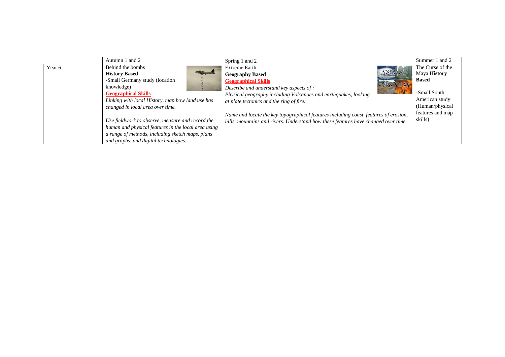|        | Autumn 1 and 2                                      | Spring 1 and 2                                                                       | Summer 1 and 2      |
|--------|-----------------------------------------------------|--------------------------------------------------------------------------------------|---------------------|
| Year 6 | Behind the bombs                                    | <b>Extreme Earth</b>                                                                 | The Curse of the    |
|        | <b>History Based</b>                                | <b>NATURAL</b><br><b>Geography Based</b>                                             | Maya <b>History</b> |
|        | -Small Germany study (location                      | <b>Geographical Skills</b>                                                           | <b>Based</b>        |
|        | knowledge)                                          | Describe and understand key aspects of :                                             |                     |
|        | <b>Geographical Skills</b>                          | Physical geography including Volcanoes and earthquakes, looking                      | -Small South        |
|        | Linking with local History, map how land use has    | at plate tectonics and the ring of fire.                                             | American study      |
|        | changed in local area over time.                    |                                                                                      | (Human/physical     |
|        |                                                     | Name and locate the key topographical features including coast, features of erosion, | features and map    |
|        | Use fieldwork to observe, measure and record the    | hills, mountains and rivers. Understand how these features have changed over time.   | skills)             |
|        | human and physical features in the local area using |                                                                                      |                     |
|        | a range of methods, including sketch maps, plans    |                                                                                      |                     |
|        | and graphs, and digital technologies.               |                                                                                      |                     |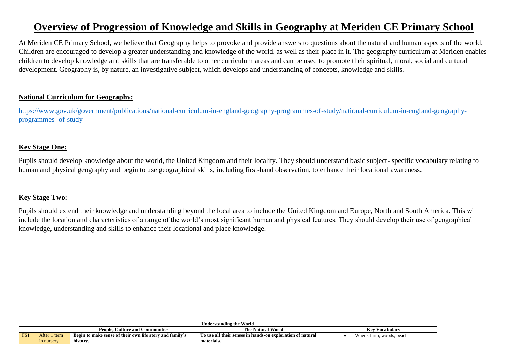# **Overview of Progression of Knowledge and Skills in Geography at Meriden CE Primary School**

At Meriden CE Primary School, we believe that Geography helps to provoke and provide answers to questions about the natural and human aspects of the world. Children are encouraged to develop a greater understanding and knowledge of the world, as well as their place in it. The geography curriculum at Meriden enables children to develop knowledge and skills that are transferable to other curriculum areas and can be used to promote their spiritual, moral, social and cultural development. Geography is, by nature, an investigative subject, which develops and understanding of concepts, knowledge and skills.

### **National Curriculum for Geography:**

[https://www.gov.uk/government/publications/national-curriculum-in-england-geography-programmes-of-study/national-curriculum-in-england-geography](https://www.gov.uk/government/publications/national-curriculum-in-england-geography-programmes-of-study/national-curriculum-in-england-geography-programmes-of-study)[programmes-](https://www.gov.uk/government/publications/national-curriculum-in-england-geography-programmes-of-study/national-curriculum-in-england-geography-programmes-of-study) [of-study](https://www.gov.uk/government/publications/national-curriculum-in-england-geography-programmes-of-study/national-curriculum-in-england-geography-programmes-of-study)

# **Key Stage One:**

Pupils should develop knowledge about the world, the United Kingdom and their locality. They should understand basic subject- specific vocabulary relating to human and physical geography and begin to use geographical skills, including first-hand observation, to enhance their locational awareness.

# **Key Stage Two:**

Pupils should extend their knowledge and understanding beyond the local area to include the United Kingdom and Europe, North and South America. This will include the location and characteristics of a range of the world's most significant human and physical features. They should develop their use of geographical knowledge, understanding and skills to enhance their locational and place knowledge.

|     | Understanding the World |                                                          |                                                            |                           |  |  |  |
|-----|-------------------------|----------------------------------------------------------|------------------------------------------------------------|---------------------------|--|--|--|
|     |                         | . Culture and Communities<br>People. (                   | <b>The Natural World</b>                                   | Key Vocabulary            |  |  |  |
| FS1 | After 1 term            | Begin to make sense of their own life story and family's | To use all their senses in hands-on exploration of natural | Where, farm, woods, beach |  |  |  |
|     | in nursery              | history.                                                 | materials.                                                 |                           |  |  |  |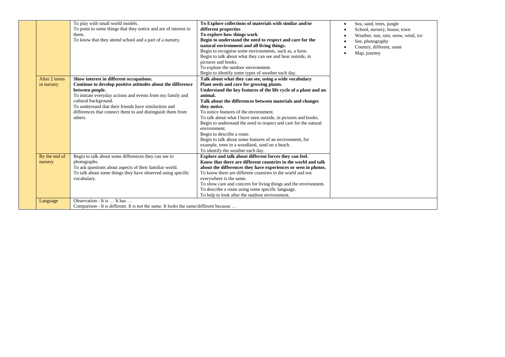| After 2 terms<br>in nursery | To play with small world models.<br>To point to some things that they notice and are of interest to<br>them.<br>To know that they attend school and a part of a nursery.<br>Show interest in different occupations.<br>Continue to develop positive attitudes about the difference<br>between people.<br>To imitate everyday actions and events from my family and<br>cultural background.<br>To understand that their friends have similarities and<br>differences that connect them to and distinguish them from<br>others. | To Explore collections of materials with similar and/or<br>different properties<br>To explore how things work<br>Begin to understand the need to respect and care for the<br>natural environment and all living things.<br>Begin to recognise some environments, such as, a farm.<br>Begin to talk about what they can see and hear outside, in<br>pictures and books.<br>To explore the outdoor environment.<br>Begin to identify some types of weather each day.<br>Talk about what they can see, using a wide vocabulary<br>Plant seeds and care for growing plants.<br>Understand the key features of the life cycle of a plant and an<br>animal.<br>Talk about the differences between materials and changes<br>they notice.<br>To notice features of the environment.<br>To talk about what I have seen outside, in pictures and books.<br>Begin to understand the need to respect and care for the natural<br>environment.<br>Begin to describe a route.<br>Begin to talk about some features of an environment, for<br>example, trees in a woodland, sand on a beach.<br>To identify the weather each day. | Sea, sand, trees, jungle<br>٠<br>School, nursery, house, town<br>Weather, sun, rain, snow, wind, ice<br>See, photography<br>Country, different, same<br>Map, journey |
|-----------------------------|-------------------------------------------------------------------------------------------------------------------------------------------------------------------------------------------------------------------------------------------------------------------------------------------------------------------------------------------------------------------------------------------------------------------------------------------------------------------------------------------------------------------------------|--------------------------------------------------------------------------------------------------------------------------------------------------------------------------------------------------------------------------------------------------------------------------------------------------------------------------------------------------------------------------------------------------------------------------------------------------------------------------------------------------------------------------------------------------------------------------------------------------------------------------------------------------------------------------------------------------------------------------------------------------------------------------------------------------------------------------------------------------------------------------------------------------------------------------------------------------------------------------------------------------------------------------------------------------------------------------------------------------------------------|----------------------------------------------------------------------------------------------------------------------------------------------------------------------|
| By the end of<br>nursery    | Begin to talk about some differences they can see in<br>photographs.<br>To ask questions about aspects of their familiar world.<br>To talk about some things they have observed using specific<br>vocabulary.                                                                                                                                                                                                                                                                                                                 | Explore and talk about different forces they can feel.<br>Know that there are different countries in the world and talk<br>about the differences they have experiences or seen in photos.<br>To know there are different countries in the world and not<br>everywhere is the same.<br>To show care and concern for living things and the environment.<br>To describe a route using some specific language.<br>To help to look after the outdoor environment.                                                                                                                                                                                                                                                                                                                                                                                                                                                                                                                                                                                                                                                       |                                                                                                                                                                      |
| Language                    | Observation - It is  It has<br>Comparison - It is different. It is not the same. It looks the same/different because                                                                                                                                                                                                                                                                                                                                                                                                          |                                                                                                                                                                                                                                                                                                                                                                                                                                                                                                                                                                                                                                                                                                                                                                                                                                                                                                                                                                                                                                                                                                                    |                                                                                                                                                                      |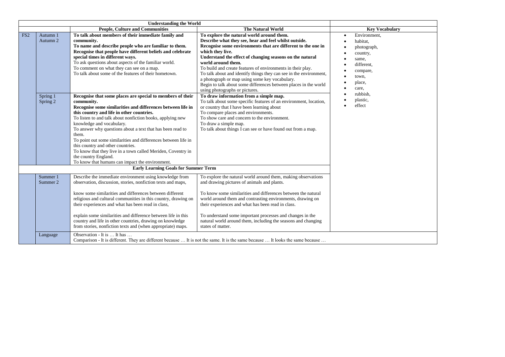|                 |                      | <b>People, Culture and Communities</b>                                                                                                                                                                                                                                                                                                                                                                                                                                                                                                                                                                   | <b>The Natural World</b>                                                                                                                                                                                                                                                                                                                                                                                                                                                                                                                                              | <b>Key Vocabulary</b>                                                                                                           |  |
|-----------------|----------------------|----------------------------------------------------------------------------------------------------------------------------------------------------------------------------------------------------------------------------------------------------------------------------------------------------------------------------------------------------------------------------------------------------------------------------------------------------------------------------------------------------------------------------------------------------------------------------------------------------------|-----------------------------------------------------------------------------------------------------------------------------------------------------------------------------------------------------------------------------------------------------------------------------------------------------------------------------------------------------------------------------------------------------------------------------------------------------------------------------------------------------------------------------------------------------------------------|---------------------------------------------------------------------------------------------------------------------------------|--|
| FS <sub>2</sub> | Autumn 1<br>Autumn 2 | To talk about members of their immediate family and<br>community.<br>To name and describe people who are familiar to them.<br>Recognise that people have different beliefs and celebrate<br>special times in different ways.<br>To ask questions about aspects of the familiar world.<br>To comment on what they can see on a map.<br>To talk about some of the features of their hometown.                                                                                                                                                                                                              | To explore the natural world around them.<br>Describe what they see, hear and feel whilst outside.<br>Recognise some environments that are different to the one in<br>which they live.<br>Understand the effect of changing seasons on the natural<br>world around them.<br>To build and create features of environments in their play.<br>To talk about and identify things they can see in the environment,<br>a photograph or map using some key vocabulary.<br>Begin to talk about some differences between places in the world<br>using photographs or pictures. | Environment.<br>$\bullet$<br>habitat.<br>photograph,<br>country,<br>same,<br>different.<br>compare,<br>town,<br>place,<br>care, |  |
|                 | Spring 1<br>Spring 2 | Recognise that some places are special to members of their<br>community.<br>Recognise some similarities and differences between life in<br>this country and life in other countries.<br>To listen to and talk about nonfiction books, applying new<br>knowledge and vocabulary.<br>To answer why questions about a text that has been read to<br>them.<br>To point out some similarities and differences between life in<br>this country and other countries.<br>To know that they live in a town called Meriden, Coventry in<br>the country England.<br>To know that humans can impact the environment. | To draw information from a simple map.<br>To talk about some specific features of an environment, location,<br>or country that I have been learning about<br>To compare places and environments.<br>To show care and concern to the environment.<br>To draw a simple map.<br>To talk about things I can see or have found out from a map.                                                                                                                                                                                                                             | rubbish.<br>plastic,<br>effect                                                                                                  |  |
|                 |                      | <b>Early Learning Goals for Summer Term</b>                                                                                                                                                                                                                                                                                                                                                                                                                                                                                                                                                              |                                                                                                                                                                                                                                                                                                                                                                                                                                                                                                                                                                       |                                                                                                                                 |  |
|                 | Summer 1<br>Summer 2 | Describe the immediate environment using knowledge from<br>observation, discussion, stories, nonfiction texts and maps,<br>know some similarities and differences between different<br>religious and cultural communities in this country, drawing on<br>their experiences and what has been read in class,<br>explain some similarities and difference between life in this<br>country and life in other countries, drawing on knowledge<br>from stories, nonfiction texts and (when appropriate) maps.                                                                                                 | To explore the natural world around them, making observations<br>and drawing pictures of animals and plants.<br>To know some similarities and differences between the natural<br>world around them and contrasting environments, drawing on<br>their experiences and what has been read in class.<br>To understand some important processes and changes in the<br>natural world around them, including the seasons and changing<br>states of matter.                                                                                                                  |                                                                                                                                 |  |
|                 | Language             | Observation - It is  It has                                                                                                                                                                                                                                                                                                                                                                                                                                                                                                                                                                              | Comparison - It is different. They are different because  It is not the same. It is the same because  It looks the same because                                                                                                                                                                                                                                                                                                                                                                                                                                       |                                                                                                                                 |  |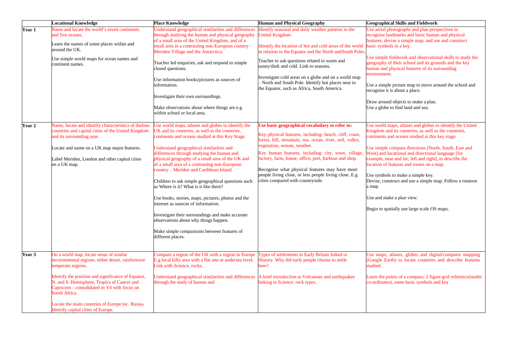|               | <b>Locational Knowledge</b>                                                                                                                                                                                                                                                                                                                                                               | <b>Place Knowledge</b>                                                                                                                                                                                                                                                                                                                                                                                                                                                                                                                                                                                                                                                                                                                                            | <b>Human and Physical Geography</b>                                                                                                                                                                                                                                                                                                                                                                                                                                | <b>Geographical Skills and Fieldwork</b>                                                                                                                                                                                                                                                                                                                                                                                                                                                                                                                                            |
|---------------|-------------------------------------------------------------------------------------------------------------------------------------------------------------------------------------------------------------------------------------------------------------------------------------------------------------------------------------------------------------------------------------------|-------------------------------------------------------------------------------------------------------------------------------------------------------------------------------------------------------------------------------------------------------------------------------------------------------------------------------------------------------------------------------------------------------------------------------------------------------------------------------------------------------------------------------------------------------------------------------------------------------------------------------------------------------------------------------------------------------------------------------------------------------------------|--------------------------------------------------------------------------------------------------------------------------------------------------------------------------------------------------------------------------------------------------------------------------------------------------------------------------------------------------------------------------------------------------------------------------------------------------------------------|-------------------------------------------------------------------------------------------------------------------------------------------------------------------------------------------------------------------------------------------------------------------------------------------------------------------------------------------------------------------------------------------------------------------------------------------------------------------------------------------------------------------------------------------------------------------------------------|
| Year 1        | Name and locate the world's seven continents<br>and five oceans.<br>Learn the names of some places within and<br>around the UK.<br>Use simple world maps for ocean names and<br>continent names.                                                                                                                                                                                          | Understand geographical similarities and differences<br>through studying the human and physical geography<br>of a small area of the United Kingdom, and of a<br>small area in a contrasting non-European country -<br>Meriden Village and the Antarctica.<br>Teacher led enquiries, ask and respond to simple<br>closed questions.<br>Use information books/pictures as sources of<br>information.<br>Investigate their own surroundings.<br>Make observations about where things are e.g<br>within school or local area.                                                                                                                                                                                                                                         | dentify seasonal and daily weather patterns in the<br>Jnited Kingdom.<br>dentify the location of hot and cold areas of the world<br>in relation to the Equator and the North and South Poles.<br>Teacher to ask questions related to warm and<br>sunny/dark and cold. Link to seasons.<br>Investigate cold areas on a globe and on a world map<br>North and South Pole. Identify hot places near to<br>the Equator, such as Africa, South America.                 | Use aerial photographs and plan perspectives to<br>recognise landmarks and basic human and physical<br>features; devise a simple map; and use and construct<br>basic symbols in a key.<br>Use simple fieldwork and observational skills to study the<br>geography of their school and its grounds and the key<br>human and physical features of its surrounding<br>environment.<br>Use a simple picture map to move around the school and<br>recognise it is about a place.<br>Draw around objects to make a plan.<br>Use a globe to find land and sea.                             |
| <b>Year 2</b> | Name, locate and identify characteristics of the four<br>countries and capital cities of the United Kingdom<br>and its surrounding seas.<br>Locate and name on a UK map major features.<br>Label Meriden, London and other capital cities<br>on a UK map.                                                                                                                                 | Use world maps, atlases and globes to identify the<br>UK and its countries, as well as the countries,<br>continents and oceans studied at this Key Stage.<br>Understand geographical similarities and<br>differences through studying the human and<br>physical geography of a small area of the UK and<br>of a small area of a contrasting non-European<br>country - Meriden and Caribbean Island.<br>Children to ask simple geographical questions such<br>as Where is it? What is it like there?<br>Use books, stories, maps, pictures, photos and the<br>internet as sources of information.<br>Investigate their surroundings and make accurate<br>observations about why things happen.<br>Make simple comparisons between features of<br>different places. | Use basic geographical vocabulary to refer to:<br>Key physical features, including: beach, cliff, coast,<br>orest, hill, mountain, sea, ocean, river, soil, valley,<br>egetation, season, weather.<br>Key human features, including: city, town, village,<br>factory, farm, house, office, port, harbour and shop.<br>Recognise what physical features may have more<br>people living close, or less people living close. E.g<br>cities compared with countryside. | Use world maps, atlases and globes to identify the United<br>Kingdom and its countries, as well as the countries,<br>continents and oceans studied at this key stage.<br>Use simple compass directions (North, South, East and<br>West) and locational and directional language [for<br>example, near and far; left and right], to describe the<br>location of features and routes on a map.<br>Use symbols to make a simple key.<br>Devise, construct and use a simple map. Follow a routeon<br>a map.<br>Use and make a plan view.<br>Begin to spatially use large scale OS maps. |
| <b>Year 3</b> | On a world map, locate areas of similar<br>environmental regions: either desert, rainforestor<br>temperate regions.<br>Identify the position and significance of Equator,<br>N. and S. Hemisphere, Tropics of Cancer and<br>Capricorn – consolidated in Y4 with focus on<br><b>South Africa</b><br>Locate the main countries of Europe inc. Russia.<br>Identify capital cities of Europe. | Compare a region of the UK with a region in Europe Types of settlements in Early Britain linked to<br>E.g local hilly area with a flat one or undersea level.<br>Link with Science, rocks.<br>Understand geographical similarities and differences<br>through the study of human and                                                                                                                                                                                                                                                                                                                                                                                                                                                                              | History. Why did early people choose to settle<br>ere?<br>A brief introduction to Volcanoes and earthquakes<br>inking to Science: rock types.                                                                                                                                                                                                                                                                                                                      | Use maps, atlases, globes and digital/computer mapping<br>(Google Earth) to locate countries and describe features<br>studied.<br>Learn the points of a compass, 2 figure grid reference(maths<br>co-ordinates), some basic symbols and key                                                                                                                                                                                                                                                                                                                                         |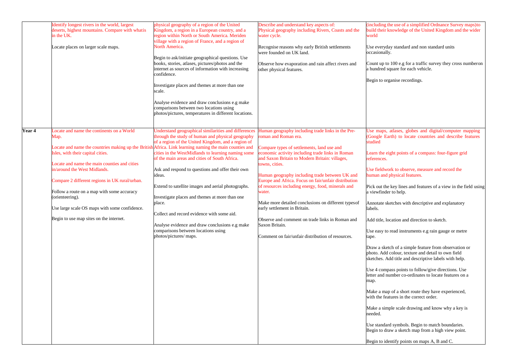|        | Identify longest rivers in the world, largest<br>deserts, highest mountains. Compare with what is<br>in the UK.<br>Locate places on larger scale maps.                                                                                                                                                                                                                               | physical geography of a region of the United<br>Kingdom, a region in a European country, and a<br>region within North or South America. Meriden<br>village with a region of France, and a region of<br>North America.<br>Begin to ask/initiate geographical questions. Use<br>books, stories, atlases, pictures/photos and the<br>internet as sources of information with increasing<br>confidence.<br>Investigate places and themes at more than one<br>scale.<br>Analyse evidence and draw conclusions e.g make<br>comparisons between two locations using<br>photos/pictures, temperatures in different locations.                                                                                                             | Describe and understand key aspects of:<br>Physical geography including Rivers, Coasts and the<br>water cycle.<br>Recognise reasons why early British settlements<br>were founded on UK land.<br>Observe how evaporation and rain affect rivers and<br>other physical features.                                                                                                                                                                                                                                                                                                                                                          | (including the use of a simplified Ordnance Survey maps)to<br>build their knowledge of the United Kingdom and the wider<br>world<br>Use everyday standard and non standard units<br>occasionally.<br>Count up to 100 e.g for a traffic survey they cross numberon<br>a hundred square for each vehicle.<br>Begin to organise recordings.                                                                                                                                                                                                                                                                                                                                                                                                                                                                                                                                                                                                                                                                                                                                                                                                                                                             |
|--------|--------------------------------------------------------------------------------------------------------------------------------------------------------------------------------------------------------------------------------------------------------------------------------------------------------------------------------------------------------------------------------------|-----------------------------------------------------------------------------------------------------------------------------------------------------------------------------------------------------------------------------------------------------------------------------------------------------------------------------------------------------------------------------------------------------------------------------------------------------------------------------------------------------------------------------------------------------------------------------------------------------------------------------------------------------------------------------------------------------------------------------------|------------------------------------------------------------------------------------------------------------------------------------------------------------------------------------------------------------------------------------------------------------------------------------------------------------------------------------------------------------------------------------------------------------------------------------------------------------------------------------------------------------------------------------------------------------------------------------------------------------------------------------------|------------------------------------------------------------------------------------------------------------------------------------------------------------------------------------------------------------------------------------------------------------------------------------------------------------------------------------------------------------------------------------------------------------------------------------------------------------------------------------------------------------------------------------------------------------------------------------------------------------------------------------------------------------------------------------------------------------------------------------------------------------------------------------------------------------------------------------------------------------------------------------------------------------------------------------------------------------------------------------------------------------------------------------------------------------------------------------------------------------------------------------------------------------------------------------------------------|
| Year 4 | ocate and name the continents on a World<br>Map.<br>Isles, with their capital cities.<br>Locate and name the main counties and cities<br>in/around the West Midlands.<br>Compare 2 different regions in UK rural/urban.<br>Follow a route on a map with some accuracy<br>(orienteering).<br>Use large scale OS maps with some confidence.<br>Begin to use map sites on the internet. | Understand geographical similarities and differences<br>through the study of human and physical geography<br>of a region of the United Kingdom, and a region of<br>Locate and name the countries making up the British Africa. Link learning naming the main counties and<br>cities in the WestMidlands to learning naming some<br>of the main areas and cities of South Africa.<br>Ask and respond to questions and offer their own<br>ideas.<br>Extend to satellite images and aerial photographs.<br>Investigate places and themes at more than one<br>place.<br>Collect and record evidence with some aid.<br>Analyse evidence and draw conclusions e.g make<br>comparisons between locations using<br>photos/pictures/ maps. | Human geography including trade links in the Pre-<br>oman and Roman era.<br>Compare types of settlements, land use and<br>conomic activity including trade links in Roman<br>and Saxon Britain to Modern Britain: villages,<br>towns, cities.<br>Human geography including trade between UK and<br>Europe and Africa. Focus on fair/unfair distribution<br>of resources including energy, food, minerals and<br>water.<br>Make more detailed conclusions on different types of<br>early settlement in Britain.<br>Observe and comment on trade links in Roman and<br>Saxon Britain.<br>Comment on fair/unfair distribution of resources. | Use maps, atlases, globes and digital/computer mapping<br>(Google Earth) to locate countries and describe features<br>studied<br>Learn the eight points of a compass: four-figure grid<br>references.<br>Use fieldwork to observe, measure and record the<br>human and physical features.<br>Pick out the key lines and features of a view in the field using<br>a viewfinder to help.<br>Annotate sketches with descriptive and explanatory<br>labels.<br>Add title, location and direction to sketch.<br>Use easy to read instruments e.g rain gauge or metre<br>tape.<br>Draw a sketch of a simple feature from observation or<br>photo. Add colour, texture and detail to own field<br>sketches. Add title and descriptive labels with help.<br>Use 4 compass points to follow/give directions. Use<br>letter and number co-ordinates to locate features on a<br>map.<br>Make a map of a short route they have experienced,<br>with the features in the correct order.<br>Make a simple scale drawing and know why a key is<br>needed.<br>Use standard symbols. Begin to match boundaries.<br>Begin to draw a sketch map from a high view point.<br>Begin to identify points on maps A, B and C. |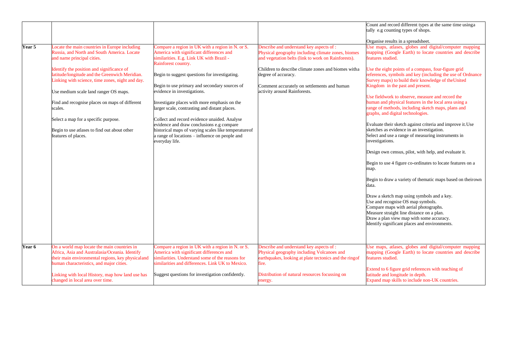|        |                                                                                                                                                                                                |                                                                                                                                                                                                                        |                                                                                                                                                          | Count and record different types at the same time using a<br>tally e.g counting types of shops.                                                                                                                                                                    |
|--------|------------------------------------------------------------------------------------------------------------------------------------------------------------------------------------------------|------------------------------------------------------------------------------------------------------------------------------------------------------------------------------------------------------------------------|----------------------------------------------------------------------------------------------------------------------------------------------------------|--------------------------------------------------------------------------------------------------------------------------------------------------------------------------------------------------------------------------------------------------------------------|
| Year 5 | locate the main countries in Europe including<br>Russia, and North and South America. Locate<br>and name principal cities.                                                                     | Compare a region in UK with a region in N. or S.<br>America with significant differences and<br>similarities. E.g. Link UK with Brazil -<br>Rainforest country.                                                        | Describe and understand key aspects of :<br>Physical geography including climate zones, biomes<br>and vegetation belts (link to work on Rainforests).    | Organise results in a spreadsheet.<br>Use maps, atlases, globes and digital/computer mapping<br>mapping (Google Earth) to locate countries and describe<br>features studied.                                                                                       |
|        | Identify the position and significance of<br>latitude/longitude and the Greenwich Meridian.<br>Linking with science, time zones, night and day.                                                | Begin to suggest questions for investigating.<br>Begin to use primary and secondary sources of                                                                                                                         | Children to describe climate zones and biomes witha<br>degree of accuracy.                                                                               | Use the eight points of a compass, four-figure grid<br>references, symbols and key (including the use of Ordnance<br>Survey maps) to build their knowledge of the United<br>Kingdom in the past and present.                                                       |
|        | Use medium scale land ranger OS maps.                                                                                                                                                          | evidence in investigations.                                                                                                                                                                                            | Comment accurately on settlements and human<br>activity around Rainforests.                                                                              | Use fieldwork to observe, measure and record the                                                                                                                                                                                                                   |
|        | Find and recognise places on maps of different<br>scales.                                                                                                                                      | Investigate places with more emphasis on the<br>larger scale, contrasting and distant places.                                                                                                                          |                                                                                                                                                          | human and physical features in the local area using a<br>range of methods, including sketch maps, plans and<br>graphs, and digital technologies.                                                                                                                   |
|        | Select a map for a specific purpose.<br>Begin to use atlases to find out about other<br>features of places.                                                                                    | Collect and record evidence unaided. Analyse<br>evidence and draw conclusions e.g compare<br>historical maps of varying scales like temperature of<br>a range of locations – influence on people and<br>everyday life. |                                                                                                                                                          | Evaluate their sketch against criteria and improve it. Use<br>sketches as evidence in an investigation.<br>Select and use a range of measuring instruments in<br>investigations.                                                                                   |
|        |                                                                                                                                                                                                |                                                                                                                                                                                                                        |                                                                                                                                                          | Design own census, pilot, with help, and evaluate it.                                                                                                                                                                                                              |
|        |                                                                                                                                                                                                |                                                                                                                                                                                                                        |                                                                                                                                                          | Begin to use 4 figure co-ordinates to locate features on a<br>map.                                                                                                                                                                                                 |
|        |                                                                                                                                                                                                |                                                                                                                                                                                                                        |                                                                                                                                                          | Begin to draw a variety of thematic maps based on theirown<br>data.                                                                                                                                                                                                |
|        |                                                                                                                                                                                                |                                                                                                                                                                                                                        |                                                                                                                                                          | Draw a sketch map using symbols and a key.<br>Use and recognise OS map symbols.<br>Compare maps with aerial photographs.<br>Measure straight line distance on a plan.<br>Draw a plan view map with some accuracy.<br>Identify significant places and environments. |
|        |                                                                                                                                                                                                |                                                                                                                                                                                                                        |                                                                                                                                                          |                                                                                                                                                                                                                                                                    |
| Year 6 | On a world map locate the main countries in<br>Africa, Asia and Australasia/Oceania. Identify<br>their main environmental regions, key physicaland<br>human characteristics, and major cities. | Compare a region in UK with a region in N. or S.<br>America with significant differences and<br>similarities. Understand some of the reasons for<br>similarities and differences. Link UK to Mexico.                   | Describe and understand key aspects of :<br>Physical geography including Volcanoes and<br>earthquakes, looking at plate tectonics and the ringof<br>ire. | Use maps, atlases, globes and digital/computer mapping<br>mapping (Google Earth) to locate countries and describe<br>features studied.                                                                                                                             |
|        | Linking with local History, map how land use has<br>changed in local area over time.                                                                                                           | Suggest questions for investigation confidently.                                                                                                                                                                       | Distribution of natural resources focussing on<br>energy.                                                                                                | Extend to 6 figure grid references with teaching of<br>latitude and longitude in depth.<br>Expand map skills to include non-UK countries.                                                                                                                          |